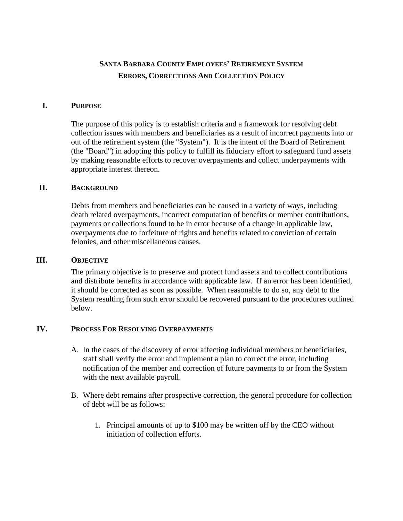# **SANTA BARBARA COUNTY EMPLOYEES' RETIREMENT SYSTEM ERRORS, CORRECTIONS AND COLLECTION POLICY**

### **I. PURPOSE**

The purpose of this policy is to establish criteria and a framework for resolving debt collection issues with members and beneficiaries as a result of incorrect payments into or out of the retirement system (the "System"). It is the intent of the Board of Retirement (the "Board") in adopting this policy to fulfill its fiduciary effort to safeguard fund assets by making reasonable efforts to recover overpayments and collect underpayments with appropriate interest thereon.

## **II. BACKGROUND**

Debts from members and beneficiaries can be caused in a variety of ways, including death related overpayments, incorrect computation of benefits or member contributions, payments or collections found to be in error because of a change in applicable law, overpayments due to forfeiture of rights and benefits related to conviction of certain felonies, and other miscellaneous causes.

### **III. OBJECTIVE**

The primary objective is to preserve and protect fund assets and to collect contributions and distribute benefits in accordance with applicable law. If an error has been identified, it should be corrected as soon as possible. When reasonable to do so, any debt to the System resulting from such error should be recovered pursuant to the procedures outlined below.

## **IV. PROCESS FOR RESOLVING OVERPAYMENTS**

- A. In the cases of the discovery of error affecting individual members or beneficiaries, staff shall verify the error and implement a plan to correct the error, including notification of the member and correction of future payments to or from the System with the next available payroll.
- B. Where debt remains after prospective correction, the general procedure for collection of debt will be as follows:
	- 1. Principal amounts of up to \$100 may be written off by the CEO without initiation of collection efforts.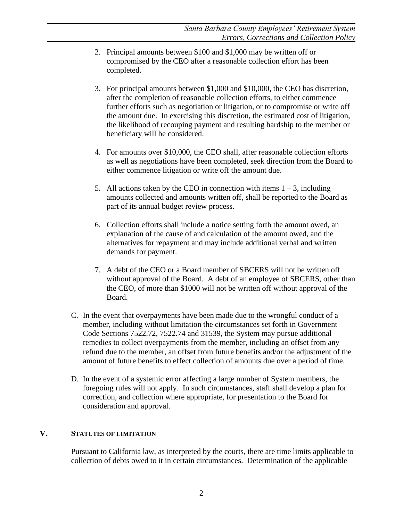- 2. Principal amounts between \$100 and \$1,000 may be written off or compromised by the CEO after a reasonable collection effort has been completed.
- 3. For principal amounts between \$1,000 and \$10,000, the CEO has discretion, after the completion of reasonable collection efforts, to either commence further efforts such as negotiation or litigation, or to compromise or write off the amount due. In exercising this discretion, the estimated cost of litigation, the likelihood of recouping payment and resulting hardship to the member or beneficiary will be considered.
- 4. For amounts over \$10,000, the CEO shall, after reasonable collection efforts as well as negotiations have been completed, seek direction from the Board to either commence litigation or write off the amount due.
- 5. All actions taken by the CEO in connection with items  $1 3$ , including amounts collected and amounts written off, shall be reported to the Board as part of its annual budget review process.
- 6. Collection efforts shall include a notice setting forth the amount owed, an explanation of the cause of and calculation of the amount owed, and the alternatives for repayment and may include additional verbal and written demands for payment.
- 7. A debt of the CEO or a Board member of SBCERS will not be written off without approval of the Board. A debt of an employee of SBCERS, other than the CEO, of more than \$1000 will not be written off without approval of the Board.
- C. In the event that overpayments have been made due to the wrongful conduct of a member, including without limitation the circumstances set forth in Government Code Sections 7522.72, 7522.74 and 31539, the System may pursue additional remedies to collect overpayments from the member, including an offset from any refund due to the member, an offset from future benefits and/or the adjustment of the amount of future benefits to effect collection of amounts due over a period of time.
- D. In the event of a systemic error affecting a large number of System members, the foregoing rules will not apply. In such circumstances, staff shall develop a plan for correction, and collection where appropriate, for presentation to the Board for consideration and approval.

# **V. STATUTES OF LIMITATION**

Pursuant to California law, as interpreted by the courts, there are time limits applicable to collection of debts owed to it in certain circumstances. Determination of the applicable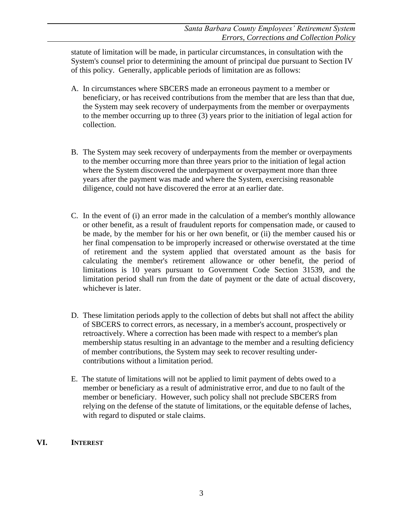statute of limitation will be made, in particular circumstances, in consultation with the System's counsel prior to determining the amount of principal due pursuant to Section IV of this policy. Generally, applicable periods of limitation are as follows:

- A. In circumstances where SBCERS made an erroneous payment to a member or beneficiary, or has received contributions from the member that are less than that due, the System may seek recovery of underpayments from the member or overpayments to the member occurring up to three (3) years prior to the initiation of legal action for collection.
- B. The System may seek recovery of underpayments from the member or overpayments to the member occurring more than three years prior to the initiation of legal action where the System discovered the underpayment or overpayment more than three years after the payment was made and where the System, exercising reasonable diligence, could not have discovered the error at an earlier date.
- C. In the event of (i) an error made in the calculation of a member's monthly allowance or other benefit, as a result of fraudulent reports for compensation made, or caused to be made, by the member for his or her own benefit, or (ii) the member caused his or her final compensation to be improperly increased or otherwise overstated at the time of retirement and the system applied that overstated amount as the basis for calculating the member's retirement allowance or other benefit, the period of limitations is 10 years pursuant to Government Code Section 31539, and the limitation period shall run from the date of payment or the date of actual discovery, whichever is later.
- D. These limitation periods apply to the collection of debts but shall not affect the ability of SBCERS to correct errors, as necessary, in a member's account, prospectively or retroactively. Where a correction has been made with respect to a member's plan membership status resulting in an advantage to the member and a resulting deficiency of member contributions, the System may seek to recover resulting undercontributions without a limitation period.
- E. The statute of limitations will not be applied to limit payment of debts owed to a member or beneficiary as a result of administrative error, and due to no fault of the member or beneficiary. However, such policy shall not preclude SBCERS from relying on the defense of the statute of limitations, or the equitable defense of laches, with regard to disputed or stale claims.

# **VI. INTEREST**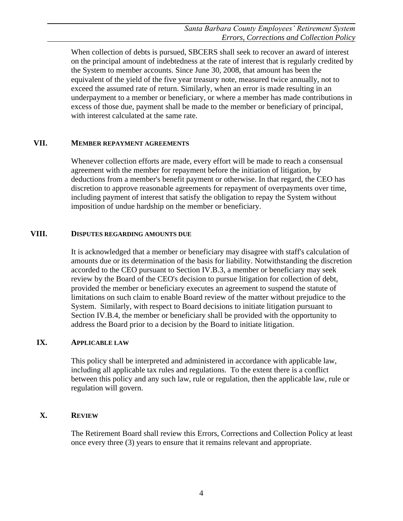When collection of debts is pursued, SBCERS shall seek to recover an award of interest on the principal amount of indebtedness at the rate of interest that is regularly credited by the System to member accounts. Since June 30, 2008, that amount has been the equivalent of the yield of the five year treasury note, measured twice annually, not to exceed the assumed rate of return. Similarly, when an error is made resulting in an underpayment to a member or beneficiary, or where a member has made contributions in excess of those due, payment shall be made to the member or beneficiary of principal, with interest calculated at the same rate.

### **VII. MEMBER REPAYMENT AGREEMENTS**

Whenever collection efforts are made, every effort will be made to reach a consensual agreement with the member for repayment before the initiation of litigation, by deductions from a member's benefit payment or otherwise. In that regard, the CEO has discretion to approve reasonable agreements for repayment of overpayments over time, including payment of interest that satisfy the obligation to repay the System without imposition of undue hardship on the member or beneficiary.

### **VIII. DISPUTES REGARDING AMOUNTS DUE**

It is acknowledged that a member or beneficiary may disagree with staff's calculation of amounts due or its determination of the basis for liability. Notwithstanding the discretion accorded to the CEO pursuant to Section IV.B.3, a member or beneficiary may seek review by the Board of the CEO's decision to pursue litigation for collection of debt, provided the member or beneficiary executes an agreement to suspend the statute of limitations on such claim to enable Board review of the matter without prejudice to the System. Similarly, with respect to Board decisions to initiate litigation pursuant to Section IV.B.4, the member or beneficiary shall be provided with the opportunity to address the Board prior to a decision by the Board to initiate litigation.

## **IX. APPLICABLE LAW**

This policy shall be interpreted and administered in accordance with applicable law, including all applicable tax rules and regulations. To the extent there is a conflict between this policy and any such law, rule or regulation, then the applicable law, rule or regulation will govern.

## **X. REVIEW**

The Retirement Board shall review this Errors, Corrections and Collection Policy at least once every three (3) years to ensure that it remains relevant and appropriate.